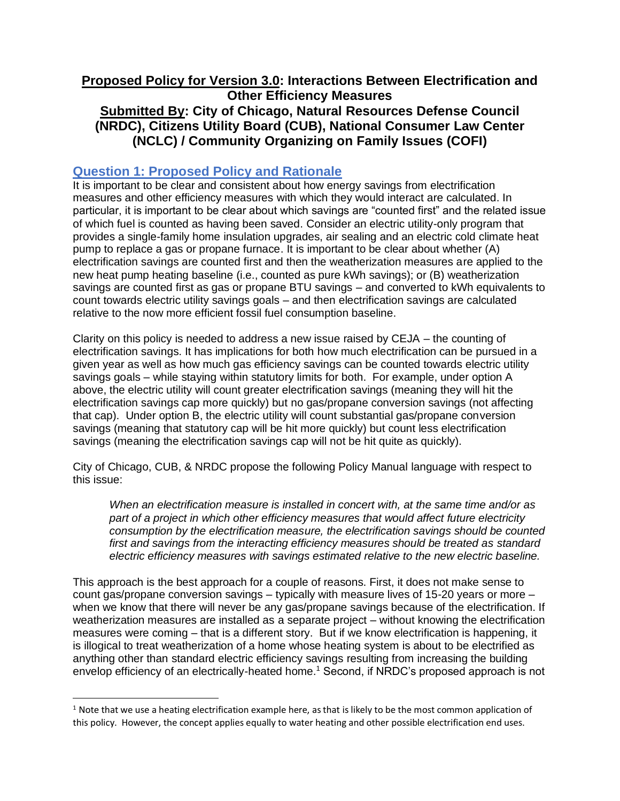## **Proposed Policy for Version 3.0: Interactions Between Electrification and Other Efficiency Measures Submitted By: City of Chicago, Natural Resources Defense Council (NRDC), Citizens Utility Board (CUB), National Consumer Law Center (NCLC) / Community Organizing on Family Issues (COFI)**

## **Question 1: Proposed Policy and Rationale**

It is important to be clear and consistent about how energy savings from electrification measures and other efficiency measures with which they would interact are calculated. In particular, it is important to be clear about which savings are "counted first" and the related issue of which fuel is counted as having been saved. Consider an electric utility-only program that provides a single-family home insulation upgrades, air sealing and an electric cold climate heat pump to replace a gas or propane furnace. It is important to be clear about whether (A) electrification savings are counted first and then the weatherization measures are applied to the new heat pump heating baseline (i.e., counted as pure kWh savings); or (B) weatherization savings are counted first as gas or propane BTU savings – and converted to kWh equivalents to count towards electric utility savings goals – and then electrification savings are calculated relative to the now more efficient fossil fuel consumption baseline.

Clarity on this policy is needed to address a new issue raised by CEJA – the counting of electrification savings. It has implications for both how much electrification can be pursued in a given year as well as how much gas efficiency savings can be counted towards electric utility savings goals – while staying within statutory limits for both. For example, under option A above, the electric utility will count greater electrification savings (meaning they will hit the electrification savings cap more quickly) but no gas/propane conversion savings (not affecting that cap). Under option B, the electric utility will count substantial gas/propane conversion savings (meaning that statutory cap will be hit more quickly) but count less electrification savings (meaning the electrification savings cap will not be hit quite as quickly).

City of Chicago, CUB, & NRDC propose the following Policy Manual language with respect to this issue:

*When an electrification measure is installed in concert with, at the same time and/or as part of a project in which other efficiency measures that would affect future electricity consumption by the electrification measure, the electrification savings should be counted first and savings from the interacting efficiency measures should be treated as standard electric efficiency measures with savings estimated relative to the new electric baseline.*

This approach is the best approach for a couple of reasons. First, it does not make sense to count gas/propane conversion savings – typically with measure lives of 15-20 years or more – when we know that there will never be any gas/propane savings because of the electrification. If weatherization measures are installed as a separate project – without knowing the electrification measures were coming – that is a different story. But if we know electrification is happening, it is illogical to treat weatherization of a home whose heating system is about to be electrified as anything other than standard electric efficiency savings resulting from increasing the building envelop efficiency of an electrically-heated home.<sup>1</sup> Second, if NRDC's proposed approach is not

 $1$  Note that we use a heating electrification example here, as that is likely to be the most common application of this policy. However, the concept applies equally to water heating and other possible electrification end uses.